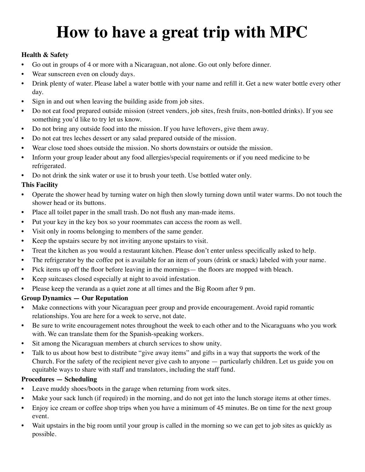# **How to have a great trip with MPC**

## **Health & Safety**

- Go out in groups of 4 or more with a Nicaraguan, not alone. Go out only before dinner.
- Wear sunscreen even on cloudy days.
- Drink plenty of water. Please label a water bottle with your name and refill it. Get a new water bottle every other day.
- Sign in and out when leaving the building aside from job sites.
- Do not eat food prepared outside mission (street venders, job sites, fresh fruits, non-bottled drinks). If you see something you'd like to try let us know.
- Do not bring any outside food into the mission. If you have leftovers, give them away.
- Do not eat tres leches dessert or any salad prepared outside of the mission.
- Wear close toed shoes outside the mission. No shorts downstairs or outside the mission.
- Inform your group leader about any food allergies/special requirements or if you need medicine to be refrigerated.
- Do not drink the sink water or use it to brush your teeth. Use bottled water only.

## **This Facility**

- Operate the shower head by turning water on high then slowly turning down until water warms. Do not touch the shower head or its buttons.
- Place all toilet paper in the small trash. Do not flush any man-made items.
- Put your key in the key box so your roommates can access the room as well.
- Visit only in rooms belonging to members of the same gender.
- Keep the upstairs secure by not inviting anyone upstairs to visit.
- Treat the kitchen as you would a restaurant kitchen. Please don't enter unless specifically asked to help.
- The refrigerator by the coffee pot is available for an item of yours (drink or snack) labeled with your name.
- Pick items up off the floor before leaving in the mornings— the floors are mopped with bleach.
- Keep suitcases closed especially at night to avoid infestation.
- Please keep the veranda as a quiet zone at all times and the Big Room after 9 pm.

### **Group Dynamics — Our Reputation**

- Make connections with your Nicaraguan peer group and provide encouragement. Avoid rapid romantic relationships. You are here for a week to serve, not date.
- Be sure to write encouragement notes throughout the week to each other and to the Nicaraguans who you work with. We can translate them for the Spanish-speaking workers.
- Sit among the Nicaraguan members at church services to show unity.
- Talk to us about how best to distribute "give away items" and gifts in a way that supports the work of the Church. For the safety of the recipient never give cash to anyone — particularly children. Let us guide you on equitable ways to share with staff and translators, including the staff fund.

### **Procedures — Scheduling**

- Leave muddy shoes/boots in the garage when returning from work sites.
- Make your sack lunch (if required) in the morning, and do not get into the lunch storage items at other times.
- Enjoy ice cream or coffee shop trips when you have a minimum of 45 minutes. Be on time for the next group event.
- Wait upstairs in the big room until your group is called in the morning so we can get to job sites as quickly as possible.